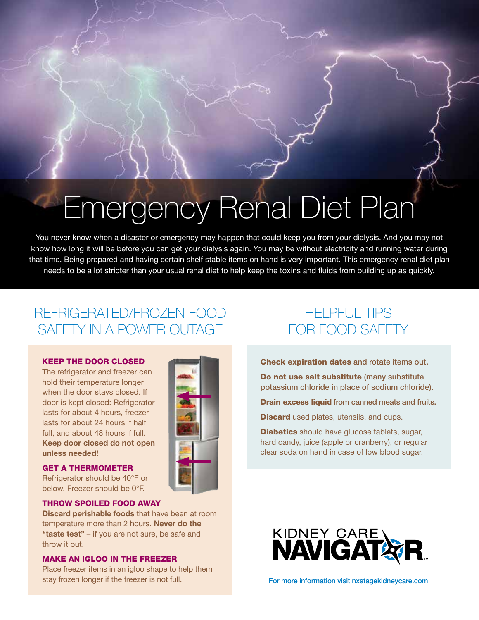# **Emergency Renal Diet Plan**

You never know when a disaster or emergency may happen that could keep you from your dialysis. And you may not know how long it will be before you can get your dialysis again. You may be without electricity and running water during that time. Being prepared and having certain shelf stable items on hand is very important. This emergency renal diet plan needs to be a lot stricter than your usual renal diet to help keep the toxins and fluids from building up as quickly.

### REFRIGERATED/FROZEN FOOD SAFETY IN A POWER OUTAGE

### KEEP THE DOOR CLOSED

The refrigerator and freezer can hold their temperature longer when the door stays closed. If door is kept closed: Refrigerator lasts for about 4 hours, freezer lasts for about 24 hours if half full, and about 48 hours if full. **Keep door closed do not open unless needed!**

### GET A THERMOMETER

Refrigerator should be 40°F or below. Freezer should be 0°F.

#### THROW SPOILED FOOD AWAY

**Discard perishable foods** that have been at room temperature more than 2 hours. **Never do the "taste test"** – if you are not sure, be safe and throw it out.

### MAKE AN IGLOO IN THE FREEZER

Place freezer items in an igloo shape to help them stay frozen longer if the freezer is not full.



### HELPFUL TIPS FOR FOOD SAFETY

Check expiration dates and rotate items out.

Do not use salt substitute (many substitute potassium chloride in place of sodium chloride).

Drain excess liquid from canned meats and fruits.

**Discard** used plates, utensils, and cups.

**Diabetics** should have glucose tablets, sugar, hard candy, juice (apple or cranberry), or regular clear soda on hand in case of low blood sugar.



For more information visit nxstagekidneycare.com